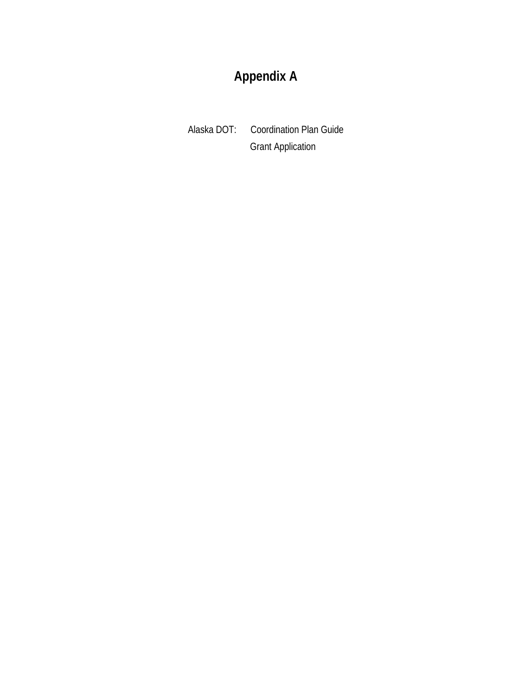# **Appendix A**

Alaska DOT: Coordination Plan Guide Grant Application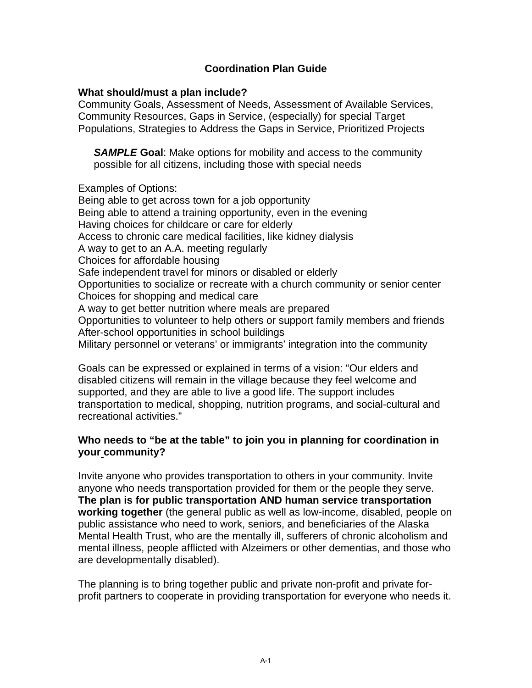# **Coordination Plan Guide**

### **What should/must a plan include?**

Community Goals, Assessment of Needs, Assessment of Available Services, Community Resources, Gaps in Service, (especially) for special Target Populations, Strategies to Address the Gaps in Service, Prioritized Projects

*SAMPLE* **Goal**: Make options for mobility and access to the community possible for all citizens, including those with special needs

Examples of Options:

Being able to get across town for a job opportunity Being able to attend a training opportunity, even in the evening Having choices for childcare or care for elderly Access to chronic care medical facilities, like kidney dialysis A way to get to an A.A. meeting regularly Choices for affordable housing Safe independent travel for minors or disabled or elderly Opportunities to socialize or recreate with a church community or senior center Choices for shopping and medical care A way to get better nutrition where meals are prepared Opportunities to volunteer to help others or support family members and friends After-school opportunities in school buildings Military personnel or veterans' or immigrants' integration into the community

Goals can be expressed or explained in terms of a vision: "Our elders and disabled citizens will remain in the village because they feel welcome and supported, and they are able to live a good life. The support includes transportation to medical, shopping, nutrition programs, and social-cultural and recreational activities."

# **Who needs to "be at the table" to join you in planning for coordination in your community?**

Invite anyone who provides transportation to others in your community. Invite anyone who needs transportation provided for them or the people they serve. **The plan is for public transportation AND human service transportation working together** (the general public as well as low-income, disabled, people on public assistance who need to work, seniors, and beneficiaries of the Alaska Mental Health Trust, who are the mentally ill, sufferers of chronic alcoholism and mental illness, people afflicted with Alzeimers or other dementias, and those who are developmentally disabled).

The planning is to bring together public and private non-profit and private forprofit partners to cooperate in providing transportation for everyone who needs it.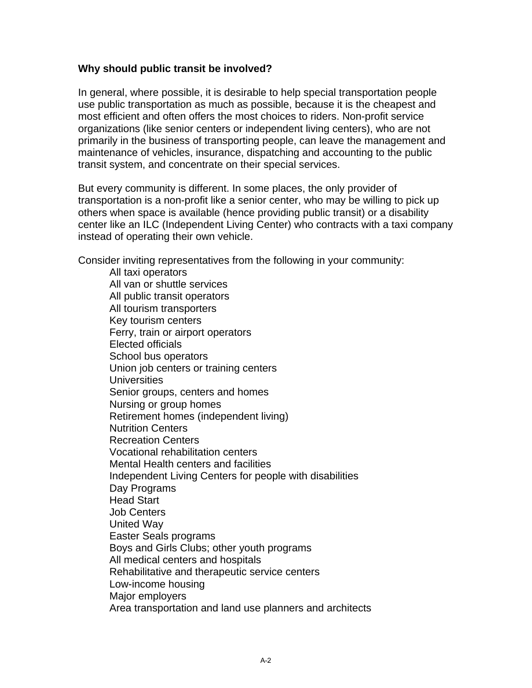### **Why should public transit be involved?**

In general, where possible, it is desirable to help special transportation people use public transportation as much as possible, because it is the cheapest and most efficient and often offers the most choices to riders. Non-profit service organizations (like senior centers or independent living centers), who are not primarily in the business of transporting people, can leave the management and maintenance of vehicles, insurance, dispatching and accounting to the public transit system, and concentrate on their special services.

But every community is different. In some places, the only provider of transportation is a non-profit like a senior center, who may be willing to pick up others when space is available (hence providing public transit) or a disability center like an ILC (Independent Living Center) who contracts with a taxi company instead of operating their own vehicle.

Consider inviting representatives from the following in your community:

 All taxi operators All van or shuttle services All public transit operators All tourism transporters Key tourism centers Ferry, train or airport operators Elected officials School bus operators Union job centers or training centers **Universities** Senior groups, centers and homes Nursing or group homes Retirement homes (independent living) Nutrition Centers Recreation Centers Vocational rehabilitation centers Mental Health centers and facilities Independent Living Centers for people with disabilities Day Programs Head Start Job Centers United Way Easter Seals programs Boys and Girls Clubs; other youth programs All medical centers and hospitals Rehabilitative and therapeutic service centers Low-income housing Major employers Area transportation and land use planners and architects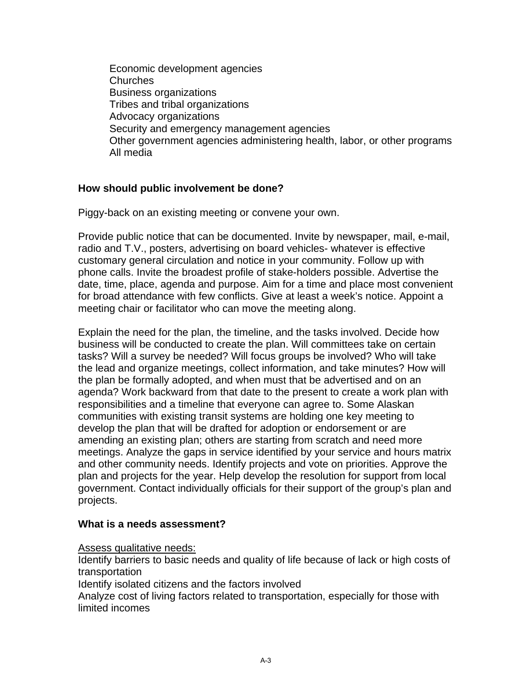Economic development agencies Churches Business organizations Tribes and tribal organizations Advocacy organizations Security and emergency management agencies Other government agencies administering health, labor, or other programs All media

# **How should public involvement be done?**

Piggy-back on an existing meeting or convene your own.

Provide public notice that can be documented. Invite by newspaper, mail, e-mail, radio and T.V., posters, advertising on board vehicles- whatever is effective customary general circulation and notice in your community. Follow up with phone calls. Invite the broadest profile of stake-holders possible. Advertise the date, time, place, agenda and purpose. Aim for a time and place most convenient for broad attendance with few conflicts. Give at least a week's notice. Appoint a meeting chair or facilitator who can move the meeting along.

Explain the need for the plan, the timeline, and the tasks involved. Decide how business will be conducted to create the plan. Will committees take on certain tasks? Will a survey be needed? Will focus groups be involved? Who will take the lead and organize meetings, collect information, and take minutes? How will the plan be formally adopted, and when must that be advertised and on an agenda? Work backward from that date to the present to create a work plan with responsibilities and a timeline that everyone can agree to. Some Alaskan communities with existing transit systems are holding one key meeting to develop the plan that will be drafted for adoption or endorsement or are amending an existing plan; others are starting from scratch and need more meetings. Analyze the gaps in service identified by your service and hours matrix and other community needs. Identify projects and vote on priorities. Approve the plan and projects for the year. Help develop the resolution for support from local government. Contact individually officials for their support of the group's plan and projects.

### **What is a needs assessment?**

Assess qualitative needs:

Identify barriers to basic needs and quality of life because of lack or high costs of transportation

Identify isolated citizens and the factors involved

Analyze cost of living factors related to transportation, especially for those with limited incomes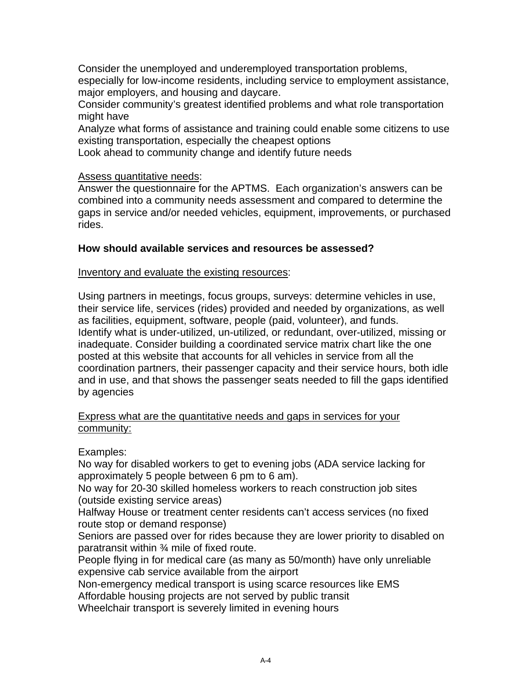Consider the unemployed and underemployed transportation problems, especially for low-income residents, including service to employment assistance, major employers, and housing and daycare.

Consider community's greatest identified problems and what role transportation might have

Analyze what forms of assistance and training could enable some citizens to use existing transportation, especially the cheapest options

Look ahead to community change and identify future needs

# Assess quantitative needs:

Answer the questionnaire for the APTMS. Each organization's answers can be combined into a community needs assessment and compared to determine the gaps in service and/or needed vehicles, equipment, improvements, or purchased rides.

# **How should available services and resources be assessed?**

### Inventory and evaluate the existing resources:

Using partners in meetings, focus groups, surveys: determine vehicles in use, their service life, services (rides) provided and needed by organizations, as well as facilities, equipment, software, people (paid, volunteer), and funds. Identify what is under-utilized, un-utilized, or redundant, over-utilized, missing or inadequate. Consider building a coordinated service matrix chart like the one posted at this website that accounts for all vehicles in service from all the coordination partners, their passenger capacity and their service hours, both idle and in use, and that shows the passenger seats needed to fill the gaps identified by agencies

### Express what are the quantitative needs and gaps in services for your community:

# Examples:

No way for disabled workers to get to evening jobs (ADA service lacking for approximately 5 people between 6 pm to 6 am).

No way for 20-30 skilled homeless workers to reach construction job sites (outside existing service areas)

Halfway House or treatment center residents can't access services (no fixed route stop or demand response)

Seniors are passed over for rides because they are lower priority to disabled on paratransit within ¾ mile of fixed route.

People flying in for medical care (as many as 50/month) have only unreliable expensive cab service available from the airport

Non-emergency medical transport is using scarce resources like EMS

Affordable housing projects are not served by public transit

Wheelchair transport is severely limited in evening hours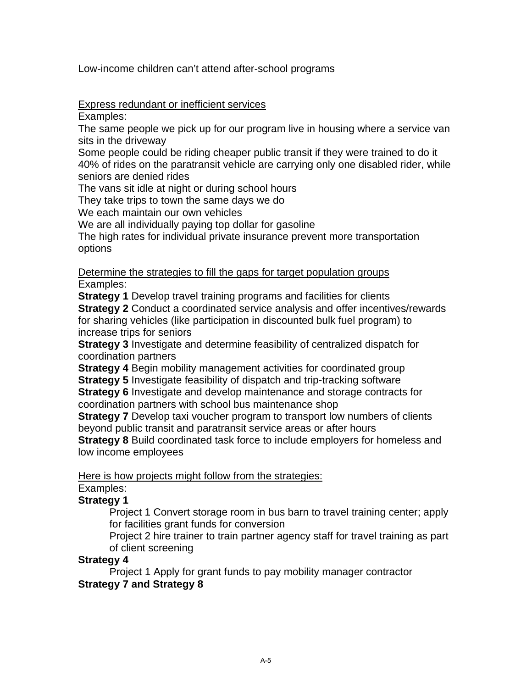Low-income children can't attend after-school programs

# Express redundant or inefficient services

Examples:

The same people we pick up for our program live in housing where a service van sits in the driveway

Some people could be riding cheaper public transit if they were trained to do it 40% of rides on the paratransit vehicle are carrying only one disabled rider, while seniors are denied rides

The vans sit idle at night or during school hours

They take trips to town the same days we do

We each maintain our own vehicles

We are all individually paying top dollar for gasoline

The high rates for individual private insurance prevent more transportation options

Determine the strategies to fill the gaps for target population groups Examples:

**Strategy 1** Develop travel training programs and facilities for clients **Strategy 2** Conduct a coordinated service analysis and offer incentives/rewards for sharing vehicles (like participation in discounted bulk fuel program) to increase trips for seniors

**Strategy 3** Investigate and determine feasibility of centralized dispatch for coordination partners

**Strategy 4** Begin mobility management activities for coordinated group **Strategy 5** Investigate feasibility of dispatch and trip-tracking software

**Strategy 6** Investigate and develop maintenance and storage contracts for coordination partners with school bus maintenance shop

**Strategy 7** Develop taxi voucher program to transport low numbers of clients beyond public transit and paratransit service areas or after hours

**Strategy 8** Build coordinated task force to include employers for homeless and low income employees

Here is how projects might follow from the strategies:

# Examples:

# **Strategy 1**

Project 1 Convert storage room in bus barn to travel training center; apply for facilities grant funds for conversion

Project 2 hire trainer to train partner agency staff for travel training as part of client screening

### **Strategy 4**

Project 1 Apply for grant funds to pay mobility manager contractor **Strategy 7 and Strategy 8**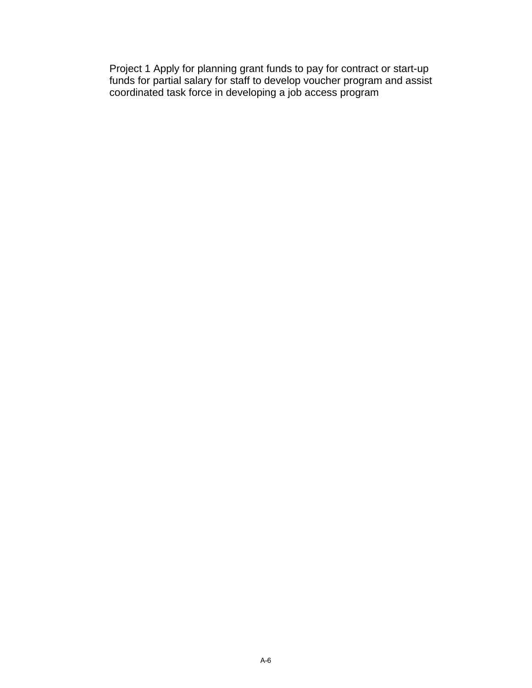Project 1 Apply for planning grant funds to pay for contract or start-up funds for partial salary for staff to develop voucher program and assist coordinated task force in developing a job access program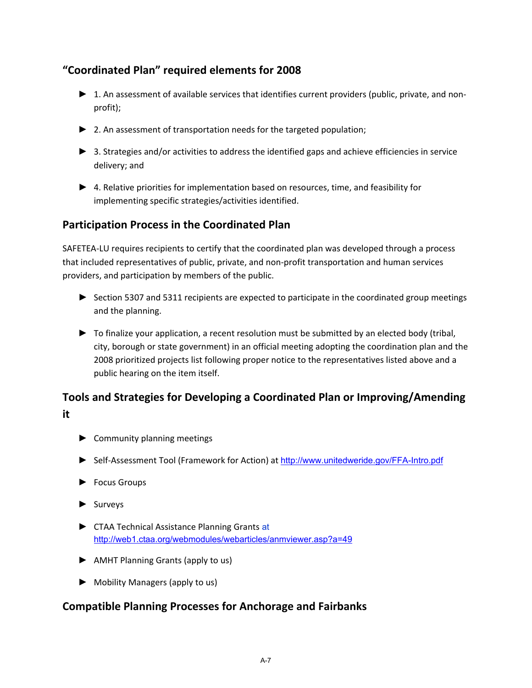# **"Coordinated Plan" required elements for 2008**

- ▶ 1. An assessment of available services that identifies current providers (public, private, and nonprofit);
- ► 2. An assessment of transportation needs for the targeted population;
- ► 3. Strategies and/or activities to address the identified gaps and achieve efficiencies in service delivery; and
- ► 4. Relative priorities for implementation based on resources, time, and feasibility for implementing specific strategies/activities identified.

# **Participation Process in the Coordinated Plan**

SAFETEA‐LU requires recipients to certify that the coordinated plan was developed through a process that included representatives of public, private, and non‐profit transportation and human services providers, and participation by members of the public.

- ► Section 5307 and 5311 recipients are expected to participate in the coordinated group meetings and the planning.
- ► To finalize your application, a recent resolution must be submitted by an elected body (tribal, city, borough or state government) in an official meeting adopting the coordination plan and the 2008 prioritized projects list following proper notice to the representatives listed above and a public hearing on the item itself.

# **Tools and Strategies for Developing a Coordinated Plan or Improving/Amending it**

- ► Community planning meetings
- ► Self‐Assessment Tool (Framework for Action) at http://www.unitedweride.gov/FFA-Intro.pdf
- ► Focus Groups
- ► Surveys
- ► CTAA Technical Assistance Planning Grants at http://web1.ctaa.org/webmodules/webarticles/anmviewer.asp?a=49
- ► AMHT Planning Grants (apply to us)
- ► Mobility Managers (apply to us)

# **Compatible Planning Processes for Anchorage and Fairbanks**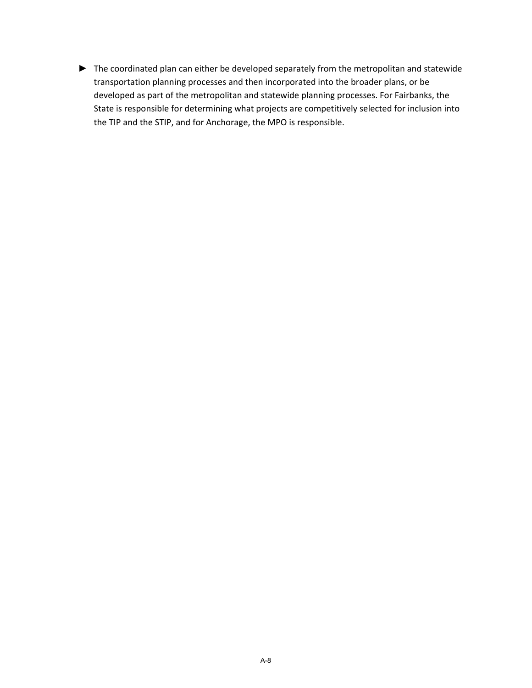► The coordinated plan can either be developed separately from the metropolitan and statewide transportation planning processes and then incorporated into the broader plans, or be developed as part of the metropolitan and statewide planning processes. For Fairbanks, the State is responsible for determining what projects are competitively selected for inclusion into the TIP and the STIP, and for Anchorage, the MPO is responsible.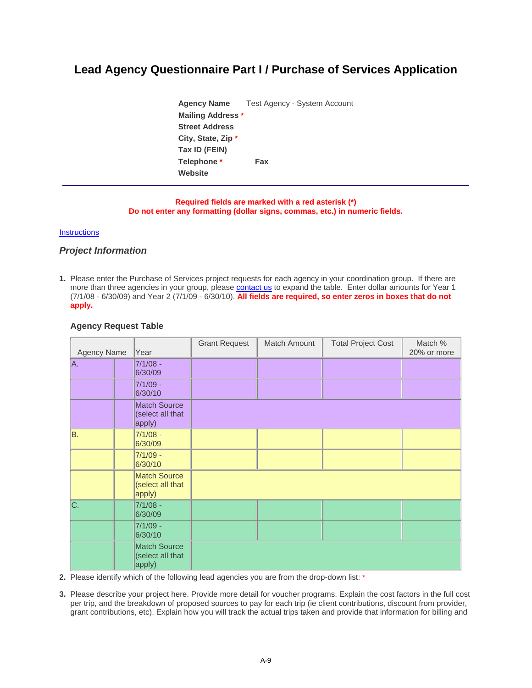# **Lead Agency Questionnaire Part I / Purchase of Services Application**

**Agency Name** Test Agency - System Account **Mailing Address \* Street Address City, State, Zip \* Tax ID (FEIN) Telephone \* Fax Website** 

#### **Required fields are marked with a red asterisk (\*) Do not enter any formatting (dollar signs, commas, etc.) in numeric fields.**

#### **Instructions**

#### *Project Information*

**1.** Please enter the Purchase of Services project requests for each agency in your coordination group. If there are more than three agencies in your group, please contact us to expand the table. Enter dollar amounts for Year 1 (7/1/08 - 6/30/09) and Year 2 (7/1/09 - 6/30/10). **All fields are required, so enter zeros in boxes that do not apply.**

| <b>Agency Name</b> |  | Year                                              | <b>Grant Request</b> | Match Amount | <b>Total Project Cost</b> | Match %<br>20% or more |
|--------------------|--|---------------------------------------------------|----------------------|--------------|---------------------------|------------------------|
| A.                 |  | $7/1/08 -$<br>6/30/09                             |                      |              |                           |                        |
|                    |  | $7/1/09 -$<br>6/30/10                             |                      |              |                           |                        |
|                    |  | <b>Match Source</b><br>(select all that<br>apply) |                      |              |                           |                        |
| B.                 |  | $7/1/08 -$<br>6/30/09                             |                      |              |                           |                        |
|                    |  | $7/1/09 -$<br>6/30/10                             |                      |              |                           |                        |
|                    |  | <b>Match Source</b><br>(select all that<br>apply) |                      |              |                           |                        |
| C.                 |  | $7/1/08 -$<br>6/30/09                             |                      |              |                           |                        |
|                    |  | 7/1/09 -<br>6/30/10                               |                      |              |                           |                        |
|                    |  | <b>Match Source</b><br>(select all that<br>apply) |                      |              |                           |                        |

#### **Agency Request Table**

**2.** Please identify which of the following lead agencies you are from the drop-down list: \*

**3.** Please describe your project here. Provide more detail for voucher programs. Explain the cost factors in the full cost per trip, and the breakdown of proposed sources to pay for each trip (ie client contributions, discount from provider, grant contributions, etc). Explain how you will track the actual trips taken and provide that information for billing and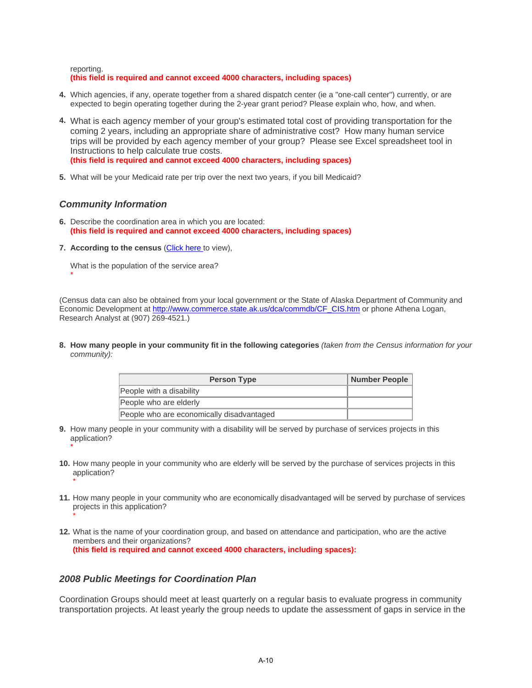reporting.

#### **(this field is required and cannot exceed 4000 characters, including spaces)**

- **4.** Which agencies, if any, operate together from a shared dispatch center (ie a "one-call center") currently, or are expected to begin operating together during the 2-year grant period? Please explain who, how, and when.
- **4.** What is each agency member of your group's estimated total cost of providing transportation for the coming 2 years, including an appropriate share of administrative cost? How many human service trips will be provided by each agency member of your group? Please see Excel spreadsheet tool in Instructions to help calculate true costs. **(this field is required and cannot exceed 4000 characters, including spaces)**
- **5.** What will be your Medicaid rate per trip over the next two years, if you bill Medicaid?

#### *Community Information*

- **6.** Describe the coordination area in which you are located: **(this field is required and cannot exceed 4000 characters, including spaces)**
- **7. According to the census (Click here to view).**

What is the population of the service area? \*

(Census data can also be obtained from your local government or the State of Alaska Department of Community and Economic Development at http://www.commerce.state.ak.us/dca/commdb/CF\_CIS.htm or phone Athena Logan, Research Analyst at (907) 269-4521.)

**8. How many people in your community fit in the following categories** *(taken from the Census information for your community):*

| <b>Person Type</b>                        | Number People |
|-------------------------------------------|---------------|
| People with a disability                  |               |
| People who are elderly                    |               |
| People who are economically disadvantaged |               |

- **9.** How many people in your community with a disability will be served by purchase of services projects in this application? \*
- **10.** How many people in your community who are elderly will be served by the purchase of services projects in this application? \*
- **11.** How many people in your community who are economically disadvantaged will be served by purchase of services projects in this application?
- **12.** What is the name of your coordination group, and based on attendance and participation, who are the active members and their organizations? **(this field is required and cannot exceed 4000 characters, including spaces):**

#### *2008 Public Meetings for Coordination Plan*

\*

Coordination Groups should meet at least quarterly on a regular basis to evaluate progress in community transportation projects. At least yearly the group needs to update the assessment of gaps in service in the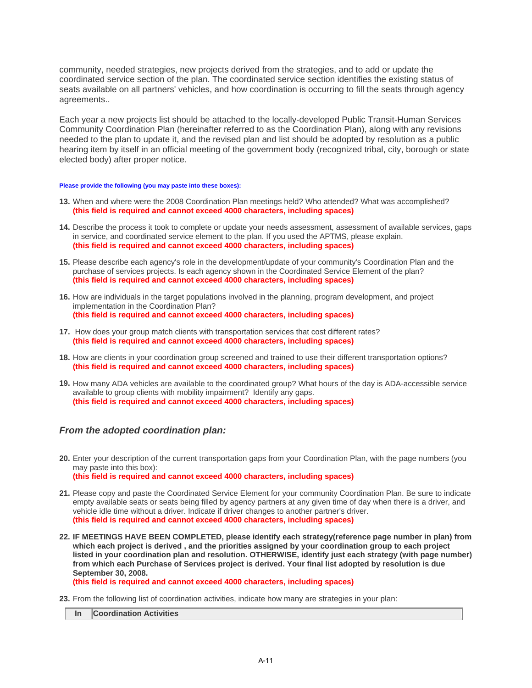community, needed strategies, new projects derived from the strategies, and to add or update the coordinated service section of the plan. The coordinated service section identifies the existing status of seats available on all partners' vehicles, and how coordination is occurring to fill the seats through agency agreements..

Each year a new projects list should be attached to the locally-developed Public Transit-Human Services Community Coordination Plan (hereinafter referred to as the Coordination Plan), along with any revisions needed to the plan to update it, and the revised plan and list should be adopted by resolution as a public hearing item by itself in an official meeting of the government body (recognized tribal, city, borough or state elected body) after proper notice.

#### **Please provide the following (you may paste into these boxes):**

- **13.** When and where were the 2008 Coordination Plan meetings held? Who attended? What was accomplished? **(this field is required and cannot exceed 4000 characters, including spaces)**
- **14.** Describe the process it took to complete or update your needs assessment, assessment of available services, gaps in service, and coordinated service element to the plan. If you used the APTMS, please explain. **(this field is required and cannot exceed 4000 characters, including spaces)**
- **15.** Please describe each agency's role in the development/update of your community's Coordination Plan and the purchase of services projects. Is each agency shown in the Coordinated Service Element of the plan? **(this field is required and cannot exceed 4000 characters, including spaces)**
- **16.** How are individuals in the target populations involved in the planning, program development, and project implementation in the Coordination Plan? **(this field is required and cannot exceed 4000 characters, including spaces)**
- **17.** How does your group match clients with transportation services that cost different rates? **(this field is required and cannot exceed 4000 characters, including spaces)**
- **18.** How are clients in your coordination group screened and trained to use their different transportation options? **(this field is required and cannot exceed 4000 characters, including spaces)**
- **19.** How many ADA vehicles are available to the coordinated group? What hours of the day is ADA-accessible service available to group clients with mobility impairment? Identify any gaps. **(this field is required and cannot exceed 4000 characters, including spaces)**

#### *From the adopted coordination plan:*

- **20.** Enter your description of the current transportation gaps from your Coordination Plan, with the page numbers (you may paste into this box): **(this field is required and cannot exceed 4000 characters, including spaces)**
- **21.** Please copy and paste the Coordinated Service Element for your community Coordination Plan. Be sure to indicate empty available seats or seats being filled by agency partners at any given time of day when there is a driver, and vehicle idle time without a driver. Indicate if driver changes to another partner's driver. **(this field is required and cannot exceed 4000 characters, including spaces)**
- **22. IF MEETINGS HAVE BEEN COMPLETED, please identify each strategy(reference page number in plan) from which each project is derived , and the priorities assigned by your coordination group to each project listed in your coordination plan and resolution. OTHERWISE, identify just each strategy (with page number) from which each Purchase of Services project is derived. Your final list adopted by resolution is due September 30, 2008. (this field is required and cannot exceed 4000 characters, including spaces)**
- **23.** From the following list of coordination activities, indicate how many are strategies in your plan:

**In Coordination Activities**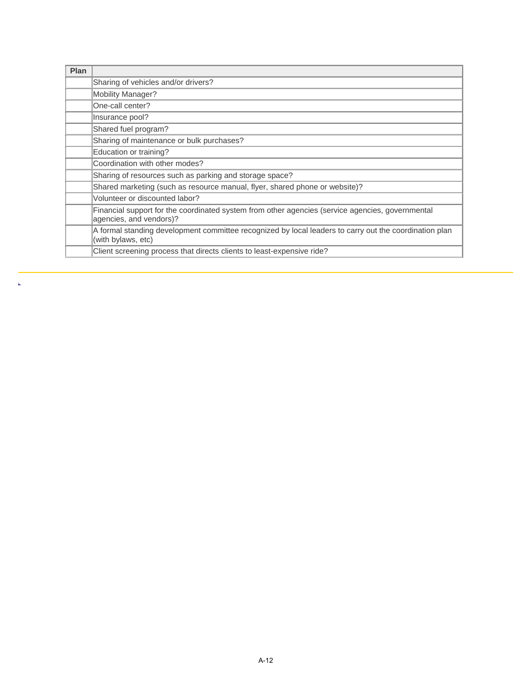| Plan |                                                                                                                              |
|------|------------------------------------------------------------------------------------------------------------------------------|
|      | Sharing of vehicles and/or drivers?                                                                                          |
|      | Mobility Manager?                                                                                                            |
|      | One-call center?                                                                                                             |
|      | Insurance pool?                                                                                                              |
|      | Shared fuel program?                                                                                                         |
|      | Sharing of maintenance or bulk purchases?                                                                                    |
|      | Education or training?                                                                                                       |
|      | Coordination with other modes?                                                                                               |
|      | Sharing of resources such as parking and storage space?                                                                      |
|      | Shared marketing (such as resource manual, flyer, shared phone or website)?                                                  |
|      | Volunteer or discounted labor?                                                                                               |
|      | Financial support for the coordinated system from other agencies (service agencies, governmental<br>agencies, and vendors)?  |
|      | A formal standing development committee recognized by local leaders to carry out the coordination plan<br>(with bylaws, etc) |
|      | Client screening process that directs clients to least-expensive ride?                                                       |

k,

A-12